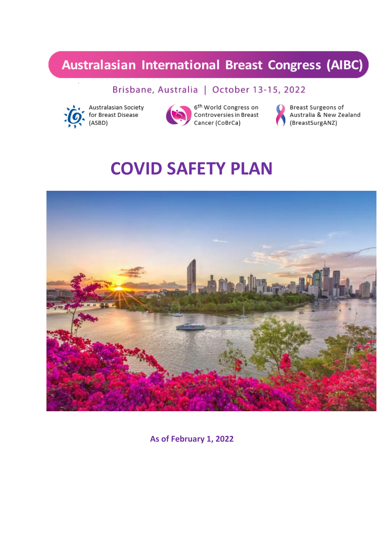## **Australasian International Breast Congress (AIBC)**

## Brisbane, Australia | October 13-15, 2022



Australasian Society for Breast Disease (ASBD)



6<sup>th</sup> World Congress on o world congress on<br>Controversies in Breast Cancer (CoBrCa)



Breast Surgeons of Australia & New Zealand (BreastSurgANZ)

# **COVID SAFETY PLAN**



**As of February 1, 2022**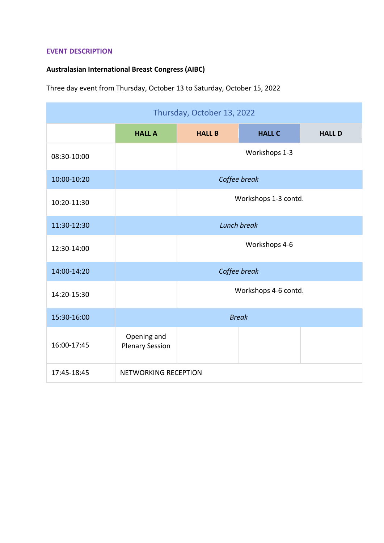#### **EVENT DESCRIPTION**

### **Australasian International Breast Congress (AIBC)**

Three day event from Thursday, October 13 to Saturday, October 15, 2022

| Thursday, October 13, 2022 |                                       |               |               |               |  |  |
|----------------------------|---------------------------------------|---------------|---------------|---------------|--|--|
|                            | <b>HALL A</b>                         | <b>HALL B</b> | <b>HALL C</b> | <b>HALL D</b> |  |  |
| 08:30-10:00                |                                       | Workshops 1-3 |               |               |  |  |
| 10:00-10:20                | Coffee break                          |               |               |               |  |  |
| 10:20-11:30                | Workshops 1-3 contd.                  |               |               |               |  |  |
| 11:30-12:30                | <b>Lunch break</b>                    |               |               |               |  |  |
| 12:30-14:00                | Workshops 4-6                         |               |               |               |  |  |
| 14:00-14:20                | Coffee break                          |               |               |               |  |  |
| 14:20-15:30                | Workshops 4-6 contd.                  |               |               |               |  |  |
| 15:30-16:00                | <b>Break</b>                          |               |               |               |  |  |
| 16:00-17:45                | Opening and<br><b>Plenary Session</b> |               |               |               |  |  |
| 17:45-18:45                | NETWORKING RECEPTION                  |               |               |               |  |  |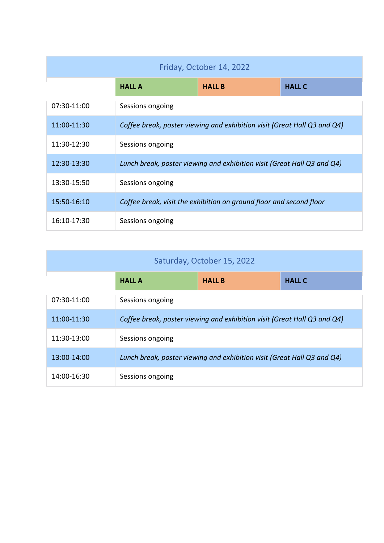| Friday, October 14, 2022 |                                                                          |               |               |  |  |  |
|--------------------------|--------------------------------------------------------------------------|---------------|---------------|--|--|--|
|                          | <b>HALL A</b>                                                            | <b>HALL B</b> | <b>HALL C</b> |  |  |  |
| 07:30-11:00              | Sessions ongoing                                                         |               |               |  |  |  |
| 11:00-11:30              | Coffee break, poster viewing and exhibition visit (Great Hall Q3 and Q4) |               |               |  |  |  |
| 11:30-12:30              | Sessions ongoing                                                         |               |               |  |  |  |
| 12:30-13:30              | Lunch break, poster viewing and exhibition visit (Great Hall Q3 and Q4)  |               |               |  |  |  |
| 13:30-15:50              | Sessions ongoing                                                         |               |               |  |  |  |
| 15:50-16:10              | Coffee break, visit the exhibition on ground floor and second floor      |               |               |  |  |  |
| 16:10-17:30              | Sessions ongoing                                                         |               |               |  |  |  |

| Saturday, October 15, 2022 |                                                                          |               |               |  |  |  |  |
|----------------------------|--------------------------------------------------------------------------|---------------|---------------|--|--|--|--|
|                            | <b>HALL A</b>                                                            | <b>HALL B</b> | <b>HALL C</b> |  |  |  |  |
| 07:30-11:00                | Sessions ongoing                                                         |               |               |  |  |  |  |
| 11:00-11:30                | Coffee break, poster viewing and exhibition visit (Great Hall Q3 and Q4) |               |               |  |  |  |  |
| 11:30-13:00                | Sessions ongoing                                                         |               |               |  |  |  |  |
| 13:00-14:00                | Lunch break, poster viewing and exhibition visit (Great Hall Q3 and Q4)  |               |               |  |  |  |  |
| 14:00-16:30                | Sessions ongoing                                                         |               |               |  |  |  |  |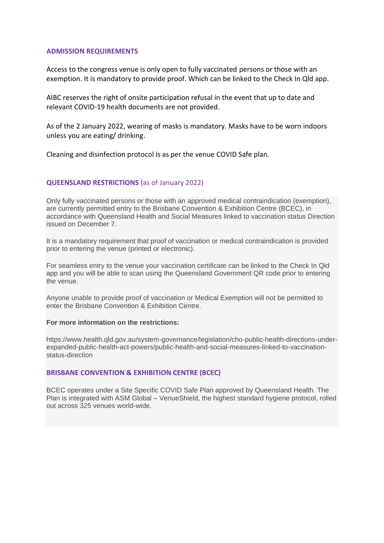#### **ADMISSION REQUIREMENTS**

Access to the congress venue is only open to fully vaccinated persons or those with an exemption. It is mandatory to provide proof. Which can be linked to the Check In Qld app.

AIBC reserves the right of onsite participation refusal in the event that up to date and relevant COVID-19 health documents are not provided.

As of the 2 January 2022, wearing of masks is mandatory. Masks have to be worn indoors unless you are eating/ drinking.

Cleaning and disinfection protocol is as per the venue COVID Safe plan.

#### **QUEENSLAND RESTRICTIONS** (as of January 2022)

Only fully vaccinated persons or those with an approved medical contraindication (exemption), are currently permitted entry to the Brisbane Convention & Exhibition Centre (BCEC), in accordance with Queensland Health and Social Measures linked to vaccination status Direction issued on December 7.

It is a mandatory requirement that proof of vaccination or medical contraindication is provided prior to entering the venue (printed or electronic).

For seamless entry to the venue your vaccination certificate can be linked to the Check In Qld app and you will be able to scan using the Queensland Government QR code prior to entering the venue.

Anyone unable to provide proof of vaccination or Medical Exemption will not be permitted to enter the Brisbane Convention & Exhibition Centre.

#### **For more information on the restrictions:**

[https://www.health.qld.gov.au/system-governance/legislation/cho-public-health-directions-under](https://www.health.qld.gov.au/system-governance/legislation/cho-public-health-directions-under-expanded-public-health-act-powers/public-health-and-social-measures-linked-to-vaccination-status-direction)[expanded-public-health-act-powers/public-health-and-social-measures-linked-to-vaccination](https://www.health.qld.gov.au/system-governance/legislation/cho-public-health-directions-under-expanded-public-health-act-powers/public-health-and-social-measures-linked-to-vaccination-status-direction)[status-direction](https://www.health.qld.gov.au/system-governance/legislation/cho-public-health-directions-under-expanded-public-health-act-powers/public-health-and-social-measures-linked-to-vaccination-status-direction) 

#### **BRISBANE CONVENTION & EXHIBITION CENTRE (BCEC)**

BCEC operates under a Site Specific COVID Safe Plan approved by Queensland Health. The Plan is integrated with ASM Global – VenueShield, the highest standard hygiene protocol, rolled out across 325 venues world-wide.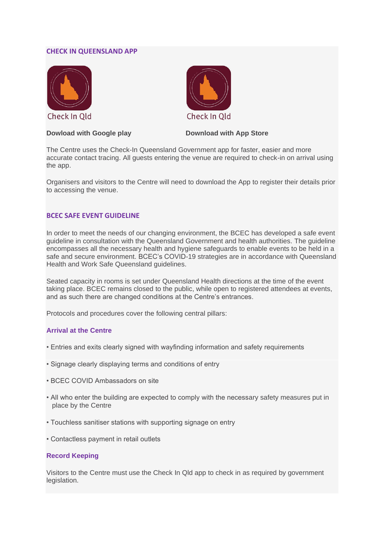#### **CHECK IN QUEENSLAND APP**



#### **Dowload with Google play <b>Download with App Store**

Check In Old

The Centre uses the Check-In Queensland Government app for faster, easier and more accurate contact tracing. All guests entering the venue are required to check-in on arrival using the app.

Organisers and visitors to the Centre will need to download the App to register their details prior to accessing the venue.

#### **BCEC SAFE EVENT GUIDELINE**

In order to meet the needs of our changing environment, the BCEC has developed a safe event guideline in consultation with the Queensland Government and health authorities. The guideline encompasses all the necessary health and hygiene safeguards to enable events to be held in a safe and secure environment. BCEC's COVID-19 strategies are in accordance with Queensland Health and Work Safe Queensland guidelines.

Seated capacity in rooms is set under Queensland Health directions at the time of the event taking place. BCEC remains closed to the public, while open to registered attendees at events, and as such there are changed conditions at the Centre's entrances.

Protocols and procedures cover the following central pillars:

#### **Arrival at the Centre**

- Entries and exits clearly signed with wayfinding information and safety requirements
- Signage clearly displaying terms and conditions of entry
- BCEC COVID Ambassadors on site
- All who enter the building are expected to comply with the necessary safety measures put in place by the Centre
- Touchless sanitiser stations with supporting signage on entry
- Contactless payment in retail outlets

#### **Record Keeping**

Visitors to the Centre must use the Check In Qld app to check in as required by government legislation.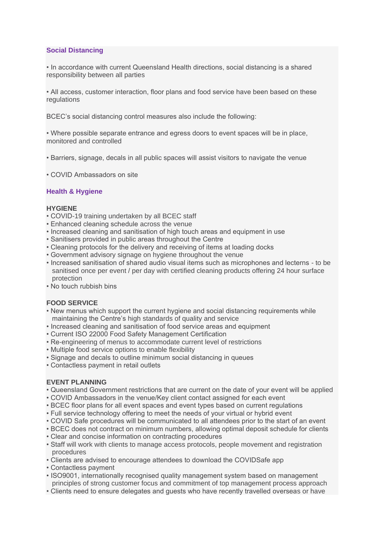#### **Social Distancing**

• In accordance with current Queensland Health directions, social distancing is a shared responsibility between all parties

• All access, customer interaction, floor plans and food service have been based on these regulations

BCEC's social distancing control measures also include the following:

• Where possible separate entrance and egress doors to event spaces will be in place, monitored and controlled

- Barriers, signage, decals in all public spaces will assist visitors to navigate the venue
- COVID Ambassadors on site

#### **Health & Hygiene**

#### **HYGIENE**

- COVID-19 training undertaken by all BCEC staff
- Enhanced cleaning schedule across the venue
- Increased cleaning and sanitisation of high touch areas and equipment in use
- Sanitisers provided in public areas throughout the Centre
- Cleaning protocols for the delivery and receiving of items at loading docks
- Government advisory signage on hygiene throughout the venue
- Increased sanitisation of shared audio visual items such as microphones and lecterns to be sanitised once per event / per day with certified cleaning products offering 24 hour surface protection
- No touch rubbish bins

#### **FOOD SERVICE**

- New menus which support the current hygiene and social distancing requirements while maintaining the Centre's high standards of quality and service
- Increased cleaning and sanitisation of food service areas and equipment
- Current ISO 22000 Food Safety Management Certification
- Re-engineering of menus to accommodate current level of restrictions
- Multiple food service options to enable flexibility
- Signage and decals to outline minimum social distancing in queues
- Contactless payment in retail outlets

#### **EVENT PLANNING**

- Queensland Government restrictions that are current on the date of your event will be applied
- COVID Ambassadors in the venue/Key client contact assigned for each event
- BCEC floor plans for all event spaces and event types based on current regulations
- Full service technology offering to meet the needs of your virtual or hybrid event
- COVID Safe procedures will be communicated to all attendees prior to the start of an event
- BCEC does not contract on minimum numbers, allowing optimal deposit schedule for clients
- Clear and concise information on contracting procedures
- Staff will work with clients to manage access protocols, people movement and registration procedures
- Clients are advised to encourage attendees to download the COVIDSafe app
- Contactless payment
- ISO9001, internationally recognised quality management system based on management principles of strong customer focus and commitment of top management process approach
- Clients need to ensure delegates and guests who have recently travelled overseas or have